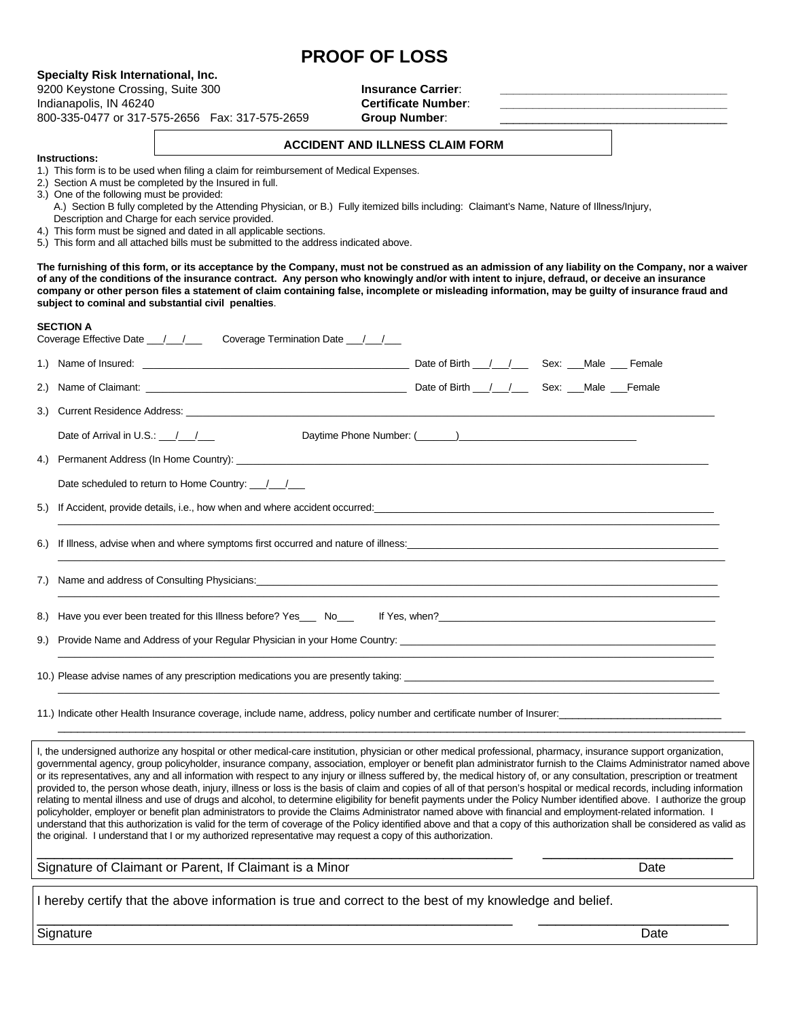## **PROOF OF LOSS**

**Specialty Risk International, Inc.**

**Instructions:**

9200 Keystone Crossing, Suite 300 **Insurance Carrier**: Indianapolis, IN 46240 **Certificate Number:** 800-335-0477 or 317-575-2656 Fax: 317-575-2659 **Group Number**: \_\_\_\_\_\_\_\_\_\_\_\_\_\_\_\_\_\_\_\_\_\_\_\_\_\_\_\_\_\_\_\_\_\_\_

## **ACCIDENT AND ILLNESS CLAIM FORM**

- 1.) This form is to be used when filing a claim for reimbursement of Medical Expenses.
- 2.) Section A must be completed by the Insured in full.
- 3.) One of the following must be provided:
- A.) Section B fully completed by the Attending Physician, or B.) Fully itemized bills including: Claimant's Name, Nature of Illness/Injury, Description and Charge for each service provided.
- 4.) This form must be signed and dated in all applicable sections.
- 
- 5.) This form and all attached bills must be submitted to the address indicated above.

**The furnishing of this form, or its acceptance by the Company, must not be construed as an admission of any liability on the Company, nor a waiver of any of the conditions of the insurance contract. Any person who knowingly and/or with intent to injure, defraud, or deceive an insurance company or other person files a statement of claim containing false, incomplete or misleading information, may be guilty of insurance fraud and subject to cominal and substantial civil penalties**.

| <b>SECTION A</b><br>Coverage Effective Date 1. 1. Coverage Termination Date 1. 1. |                                                                                                                        |  |  |  |  |  |  |  |  |  |
|-----------------------------------------------------------------------------------|------------------------------------------------------------------------------------------------------------------------|--|--|--|--|--|--|--|--|--|
|                                                                                   |                                                                                                                        |  |  |  |  |  |  |  |  |  |
|                                                                                   |                                                                                                                        |  |  |  |  |  |  |  |  |  |
|                                                                                   |                                                                                                                        |  |  |  |  |  |  |  |  |  |
|                                                                                   | Date of Arrival in U.S.: $\frac{1}{2}$                                                                                 |  |  |  |  |  |  |  |  |  |
| 4.)                                                                               |                                                                                                                        |  |  |  |  |  |  |  |  |  |
|                                                                                   | Date scheduled to return to Home Country: 1/2/2020                                                                     |  |  |  |  |  |  |  |  |  |
| 5.                                                                                |                                                                                                                        |  |  |  |  |  |  |  |  |  |
| 6.                                                                                | If Illness, advise when and where symptoms first occurred and nature of illness:                                       |  |  |  |  |  |  |  |  |  |
| 7.)                                                                               |                                                                                                                        |  |  |  |  |  |  |  |  |  |
|                                                                                   |                                                                                                                        |  |  |  |  |  |  |  |  |  |
| 9.)                                                                               |                                                                                                                        |  |  |  |  |  |  |  |  |  |
|                                                                                   |                                                                                                                        |  |  |  |  |  |  |  |  |  |
|                                                                                   | 11.) Indicate other Health Insurance coverage, include name, address, policy number and certificate number of Insurer: |  |  |  |  |  |  |  |  |  |

I, the undersigned authorize any hospital or other medical-care institution, physician or other medical professional, pharmacy, insurance support organization, governmental agency, group policyholder, insurance company, association, employer or benefit plan administrator furnish to the Claims Administrator named above or its representatives, any and all information with respect to any injury or illness suffered by, the medical history of, or any consultation, prescription or treatment provided to, the person whose death, injury, illness or loss is the basis of claim and copies of all of that person's hospital or medical records, including information relating to mental illness and use of drugs and alcohol, to determine eligibility for benefit payments under the Policy Number identified above. I authorize the group policyholder, employer or benefit plan administrators to provide the Claims Administrator named above with financial and employment-related information. I understand that this authorization is valid for the term of coverage of the Policy identified above and that a copy of this authorization shall be considered as valid as the original. I understand that I or my authorized representative may request a copy of this authorization.

\_\_\_\_\_\_\_\_\_\_\_\_\_\_\_\_\_\_\_\_\_\_\_\_\_\_\_\_\_\_\_\_\_\_\_\_\_\_\_\_\_\_\_\_\_\_\_\_\_\_\_\_\_\_\_ \_\_\_\_\_\_\_\_\_\_\_\_\_\_\_\_\_\_\_\_\_\_

\_\_\_\_\_\_\_\_\_\_\_\_\_\_\_\_\_\_\_\_\_\_\_\_\_\_\_\_\_\_\_\_\_\_\_\_\_\_\_\_\_\_\_\_\_\_\_\_\_\_\_\_\_\_\_ \_\_\_\_\_\_\_\_\_\_\_\_\_\_\_\_\_\_\_\_\_\_

| Signature of Claimant or Parent, If Claimant is a Minor |  | Date |
|---------------------------------------------------------|--|------|
|---------------------------------------------------------|--|------|

I hereby certify that the above information is true and correct to the best of my knowledge and belief.

Signature Date Date of the Signature Date of the Signature Date of the Date of the Date of the Date of the Date of the Date of the Date of the Date of the Date of the Date of the Date of the Date of the Date of the Date of